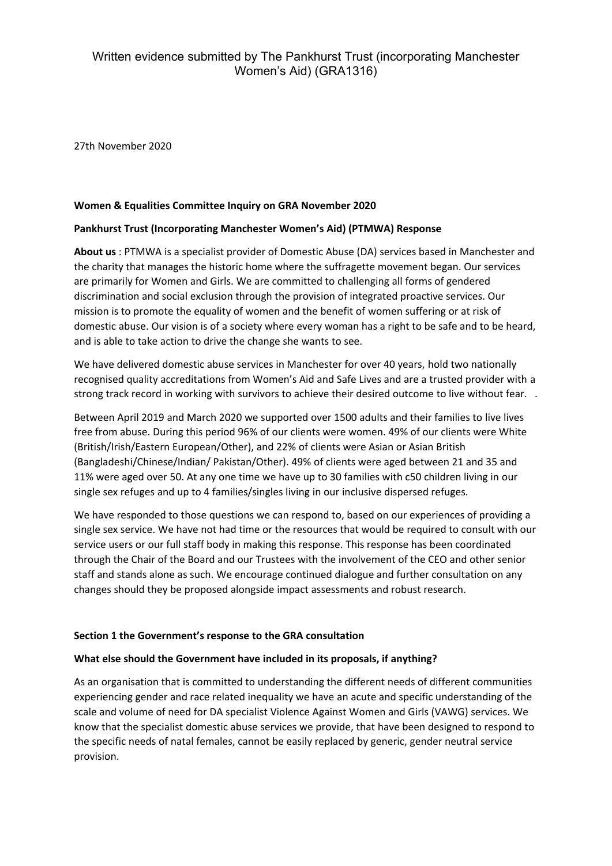# Written evidence submitted by The Pankhurst Trust (incorporating Manchester Women's Aid) (GRA1316)

27th November 2020

### **Women & Equalities Committee Inquiry on GRA November 2020**

### **Pankhurst Trust (Incorporating Manchester Women's Aid) (PTMWA) Response**

**About us** : PTMWA is a specialist provider of Domestic Abuse (DA) services based in Manchester and the charity that manages the historic home where the suffragette movement began. Our services are primarily for Women and Girls. We are committed to challenging all forms of gendered discrimination and social exclusion through the provision of integrated proactive services. Our mission is to promote the equality of women and the benefit of women suffering or at risk of domestic abuse. Our vision is of a society where every woman has a right to be safe and to be heard, and is able to take action to drive the change she wants to see.

We have delivered domestic abuse services in Manchester for over 40 years, hold two nationally recognised quality accreditations from Women's Aid and Safe Lives and are a trusted provider with a strong track record in working with survivors to achieve their desired outcome to live without fear. .

Between April 2019 and March 2020 we supported over 1500 adults and their families to live lives free from abuse. During this period 96% of our clients were women. 49% of our clients were White (British/Irish/Eastern European/Other), and 22% of clients were Asian or Asian British (Bangladeshi/Chinese/Indian/ Pakistan/Other). 49% of clients were aged between 21 and 35 and 11% were aged over 50. At any one time we have up to 30 families with c50 children living in our single sex refuges and up to 4 families/singles living in our inclusive dispersed refuges.

We have responded to those questions we can respond to, based on our experiences of providing a single sex service. We have not had time or the resources that would be required to consult with our service users or our full staff body in making this response. This response has been coordinated through the Chair of the Board and our Trustees with the involvement of the CEO and other senior staff and stands alone as such. We encourage continued dialogue and further consultation on any changes should they be proposed alongside impact assessments and robust research.

#### **Section 1 the Government's response to the GRA consultation**

#### **What else should the Government have included in its proposals, if anything?**

As an organisation that is committed to understanding the different needs of different communities experiencing gender and race related inequality we have an acute and specific understanding of the scale and volume of need for DA specialist Violence Against Women and Girls (VAWG) services. We know that the specialist domestic abuse services we provide, that have been designed to respond to the specific needs of natal females, cannot be easily replaced by generic, gender neutral service provision.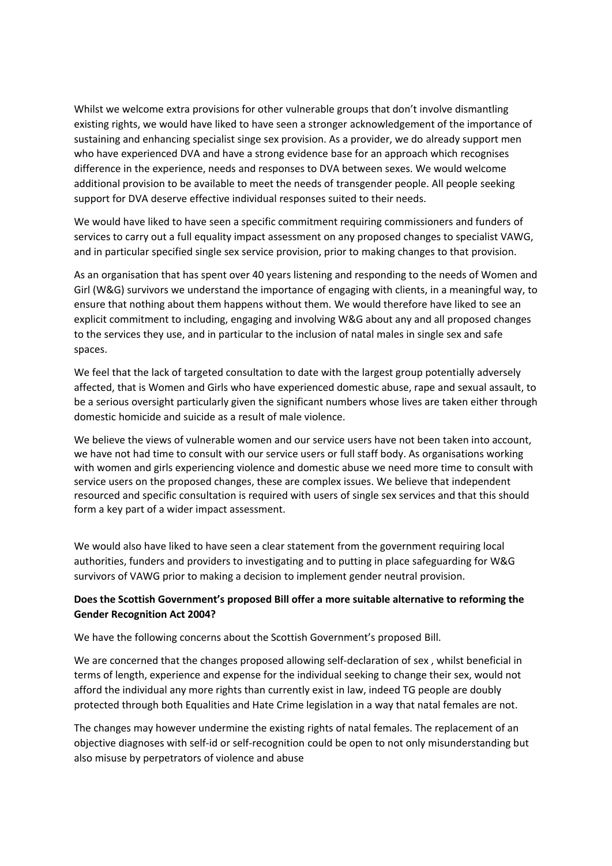Whilst we welcome extra provisions for other vulnerable groups that don't involve dismantling existing rights, we would have liked to have seen a stronger acknowledgement of the importance of sustaining and enhancing specialist singe sex provision. As a provider, we do already support men who have experienced DVA and have a strong evidence base for an approach which recognises difference in the experience, needs and responses to DVA between sexes. We would welcome additional provision to be available to meet the needs of transgender people. All people seeking support for DVA deserve effective individual responses suited to their needs.

We would have liked to have seen a specific commitment requiring commissioners and funders of services to carry out a full equality impact assessment on any proposed changes to specialist VAWG, and in particular specified single sex service provision, prior to making changes to that provision.

As an organisation that has spent over 40 years listening and responding to the needs of Women and Girl (W&G) survivors we understand the importance of engaging with clients, in a meaningful way, to ensure that nothing about them happens without them. We would therefore have liked to see an explicit commitment to including, engaging and involving W&G about any and all proposed changes to the services they use, and in particular to the inclusion of natal males in single sex and safe spaces.

We feel that the lack of targeted consultation to date with the largest group potentially adversely affected, that is Women and Girls who have experienced domestic abuse, rape and sexual assault, to be a serious oversight particularly given the significant numbers whose lives are taken either through domestic homicide and suicide as a result of male violence.

We believe the views of vulnerable women and our service users have not been taken into account, we have not had time to consult with our service users or full staff body. As organisations working with women and girls experiencing violence and domestic abuse we need more time to consult with service users on the proposed changes, these are complex issues. We believe that independent resourced and specific consultation is required with users of single sex services and that this should form a key part of a wider impact assessment.

We would also have liked to have seen a clear statement from the government requiring local authorities, funders and providers to investigating and to putting in place safeguarding for W&G survivors of VAWG prior to making a decision to implement gender neutral provision.

### **Does the Scottish Government's proposed Bill offer a more suitable alternative to reforming the Gender Recognition Act 2004?**

We have the following concerns about the Scottish Government's proposed Bill.

We are concerned that the changes proposed allowing self-declaration of sex , whilst beneficial in terms of length, experience and expense for the individual seeking to change their sex, would not afford the individual any more rights than currently exist in law, indeed TG people are doubly protected through both Equalities and Hate Crime legislation in a way that natal females are not.

The changes may however undermine the existing rights of natal females. The replacement of an objective diagnoses with self-id or self-recognition could be open to not only misunderstanding but also misuse by perpetrators of violence and abuse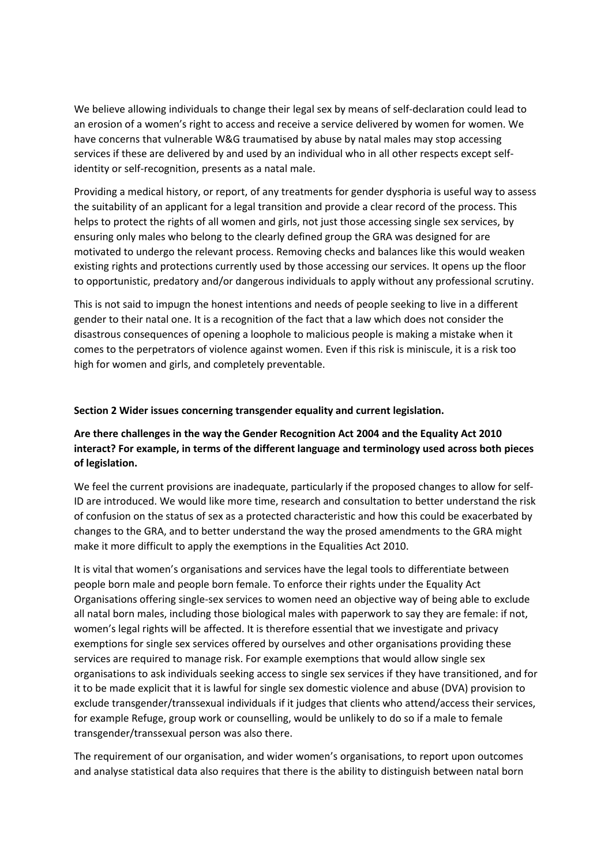We believe allowing individuals to change their legal sex by means of self-declaration could lead to an erosion of a women's right to access and receive a service delivered by women for women. We have concerns that vulnerable W&G traumatised by abuse by natal males may stop accessing services if these are delivered by and used by an individual who in all other respects except selfidentity or self-recognition, presents as a natal male.

Providing a medical history, or report, of any treatments for gender dysphoria is useful way to assess the suitability of an applicant for a legal transition and provide a clear record of the process. This helps to protect the rights of all women and girls, not just those accessing single sex services, by ensuring only males who belong to the clearly defined group the GRA was designed for are motivated to undergo the relevant process. Removing checks and balances like this would weaken existing rights and protections currently used by those accessing our services. It opens up the floor to opportunistic, predatory and/or dangerous individuals to apply without any professional scrutiny.

This is not said to impugn the honest intentions and needs of people seeking to live in a different gender to their natal one. It is a recognition of the fact that a law which does not consider the disastrous consequences of opening a loophole to malicious people is making a mistake when it comes to the perpetrators of violence against women. Even if this risk is miniscule, it is a risk too high for women and girls, and completely preventable.

#### **Section 2 Wider issues concerning transgender equality and current legislation.**

# **Are there challenges in the way the Gender Recognition Act 2004 and the Equality Act 2010 interact? For example, in terms of the different language and terminology used across both pieces of legislation.**

We feel the current provisions are inadequate, particularly if the proposed changes to allow for self-ID are introduced. We would like more time, research and consultation to better understand the risk of confusion on the status of sex as a protected characteristic and how this could be exacerbated by changes to the GRA, and to better understand the way the prosed amendments to the GRA might make it more difficult to apply the exemptions in the Equalities Act 2010.

It is vital that women's organisations and services have the legal tools to differentiate between people born male and people born female. To enforce their rights under the Equality Act Organisations offering single-sex services to women need an objective way of being able to exclude all natal born males, including those biological males with paperwork to say they are female: if not, women's legal rights will be affected. It is therefore essential that we investigate and privacy exemptions for single sex services offered by ourselves and other organisations providing these services are required to manage risk. For example exemptions that would allow single sex organisations to ask individuals seeking access to single sex services if they have transitioned, and for it to be made explicit that it is lawful for single sex domestic violence and abuse (DVA) provision to exclude transgender/transsexual individuals if it judges that clients who attend/access their services, for example Refuge, group work or counselling, would be unlikely to do so if a male to female transgender/transsexual person was also there.

The requirement of our organisation, and wider women's organisations, to report upon outcomes and analyse statistical data also requires that there is the ability to distinguish between natal born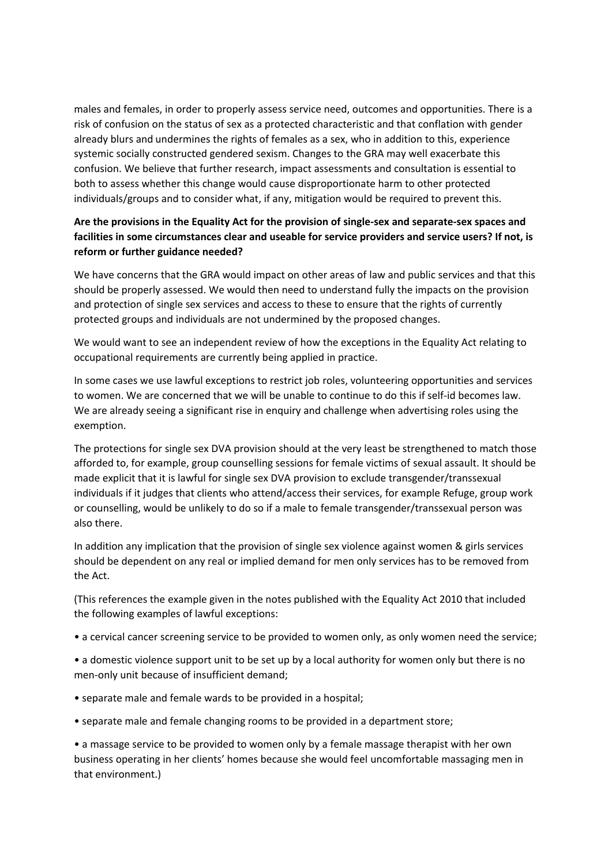males and females, in order to properly assess service need, outcomes and opportunities. There is a risk of confusion on the status of sex as a protected characteristic and that conflation with gender already blurs and undermines the rights of females as a sex, who in addition to this, experience systemic socially constructed gendered sexism. Changes to the GRA may well exacerbate this confusion. We believe that further research, impact assessments and consultation is essential to both to assess whether this change would cause disproportionate harm to other protected individuals/groups and to consider what, if any, mitigation would be required to prevent this.

# **Are the provisions in the Equality Act for the provision of single-sex and separate-sex spaces and facilities in some circumstances clear and useable for service providers and service users? If not, is reform or further guidance needed?**

We have concerns that the GRA would impact on other areas of law and public services and that this should be properly assessed. We would then need to understand fully the impacts on the provision and protection of single sex services and access to these to ensure that the rights of currently protected groups and individuals are not undermined by the proposed changes.

We would want to see an independent review of how the exceptions in the Equality Act relating to occupational requirements are currently being applied in practice.

In some cases we use lawful exceptions to restrict job roles, volunteering opportunities and services to women. We are concerned that we will be unable to continue to do this if self-id becomes law. We are already seeing a significant rise in enquiry and challenge when advertising roles using the exemption.

The protections for single sex DVA provision should at the very least be strengthened to match those afforded to, for example, group counselling sessions for female victims of sexual assault. It should be made explicit that it is lawful for single sex DVA provision to exclude transgender/transsexual individuals if it judges that clients who attend/access their services, for example Refuge, group work or counselling, would be unlikely to do so if a male to female transgender/transsexual person was also there.

In addition any implication that the provision of single sex violence against women & girls services should be dependent on any real or implied demand for men only services has to be removed from the Act.

(This references the example given in the notes published with the Equality Act 2010 that included the following examples of lawful exceptions:

• a cervical cancer screening service to be provided to women only, as only women need the service;

• a domestic violence support unit to be set up by a local authority for women only but there is no men-only unit because of insufficient demand;

- separate male and female wards to be provided in a hospital;
- separate male and female changing rooms to be provided in a department store;

• a massage service to be provided to women only by a female massage therapist with her own business operating in her clients' homes because she would feel uncomfortable massaging men in that environment.)